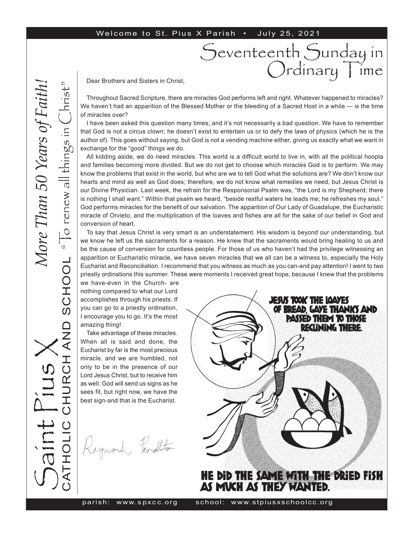#### Welcome to St. Pius X Parish . July 25, 2021

# Seventeenth Sunday in<br>Ordinary Time

Dear Brothers and Sisters in Christ,

Throughout Sacred Scripture, there are miracles God performs left and right. Whatever happened to miracles? We haven't had an apparition of the Blessed Mother or the bleeding of a Sacred Host in a while — is the time of miracles over?

I have been asked this question many times, and it's not necessarily a bad question. We have to remember that God is not a circus clown; he doesn't exist to entertain us or to defy the laws of physics (which he is the author of). This goes without saying, but God is not a vending machine either, giving us exactly what we want in exchange for the "good" things we do.

All kidding aside, we do need miracles. This world is a difficult world to live in, with all the political hoopla and families becoming more divided. But we do not get to choose which miracles God is to perform. We may know the problems that exist in the world, but who are we to tell God what the solutions are? We don't know our hearts and mind as well as God does; therefore, we do not know what remedies we need, but Jesus Christ is our Divine Physician. Last week, the refrain for the Responsorial Psalm was, "the Lord is my Shepherd; there is nothing I shall want." Within that psalm we heard, "beside restful waters he leads me; he refreshes my soul." God performs miracles for the benefit of our salvation. The apparition of Our Lady of Guadalupe, the Eucharistic miracle of Orvieto, and the multiplication of the loaves and fishes are all for the sake of our belief in God and conversion of heart.

To say that Jesus Christ is very smart is an understatement. His wisdom is beyond our understanding, but we know he left us the sacraments for a reason. He knew that the sacraments would bring healing to us and be the cause of conversion for countless people. For those of us who haven't had the privilege witnessing an apparition or Eucharistic miracle, we have seven miracles that we all can be a witness to, especially the Holy Eucharist and Reconciliation. I recommend that you witness as much as you can-and pay attention! I went to two priestly ordinations this summer. These were moments I received great hope, because I knew that the problems

we have-even in the Church- are nothing compared to what our Lord accomplishes through his priests. If you can go to a priestly ordination, I encourage you to go. It's the most amazing thing!

Take advantage of these miracles. When all is said and done, the Eucharist by far is the most precious miracle, and we are humbled, not only to be in the presence of our Lord Jesus Christ, but to receive him as well. God will send us signs as he sees fit, but right now, we have the best sign-and that is the Eucharist.

Raymond Pendlton

S

aint Pius X

CATHOLIC CHURCH AND SCHOOL

 $\overline{()}$ 

エ<br>〇

**AND** 

" $\overline{C}$  renew all things in  $\overline{C}$ hrist"

SCHOOL "To renew all things in

hrist

*More Than 50 Years of Faith!*More Than 50 Years of Eaith

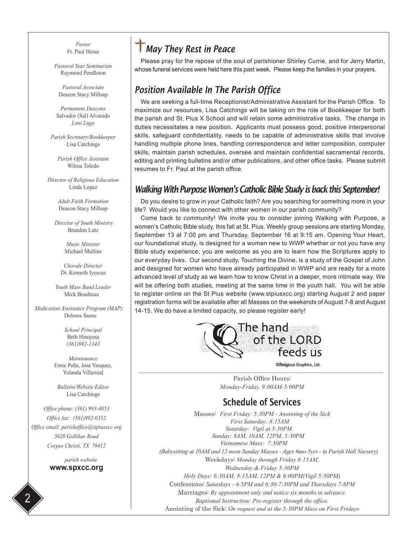*Pastor* Fr. Paul Hesse

*Pastoral Year Seminarian* Raymond Pendleton

*Pastoral Associate* Deacon Stacy Millsap

*Permanent Deacons* Salvador (Sal) Alvarado *Loni Lugo*

*Parish Secretary/Bookkeeper* Lisa Catchings

*Parish Office Assistant* Wilma Toledo

*Director of Religious Education* Linda Lopez

> *Adult Faith Formation* Deacon Stacy Millsap

 *Director of Youth Ministry* Brandon Lutz

> *Music Minister* Michael Mullins

*Chorale Director* Dr. Kenneth Iyescas

*Youth Mass Band Leader* Mick Boudreau

 *Medication Assistance Program (MAP)* Dolores Saenz

> *School Principal* Beth Hinojosa *(361)992-1343*

*Maintenance* Ernie Peña, Jose Vasquez, Yolanda Villarreal

*Bulletin/Website Editor* Lisa Catchings

*Office phone: (361) 993-4053 Office fax: (361)992-0352 Office email: parishoffice@stpiusxcc.org 5620 Gollihar Road Corpus Christi, TX 78412*

> *parish website* **www.spxcc.org**

2

# *May They Rest in Peace*

Please pray for the repose of the soul of parishioner Shirley Currie, and for Jerry Martin, whose funeral services were held here this past week. Please keep the families in your prayers.

#### *Position Available In The Parish Office*

We are seeking a full-time Receptionist/Administrative Assistant for the Parish Office. To maximize our resources, Lisa Catchings will be taking on the role of Bookkeeper for both the parish and St. Pius X School and will retain some administrative tasks. The change in duties necessitates a new position. Applicants must possess good, positive interpersonal skills, safeguard confidentiality, needs to be capable of administrative skills that involve handling multiple phone lines, handling correspondence and letter composition, computer skills, maintain parish schedules, oversee and maintain confidential sacramental records, editing and printing bulletins and/or other publications, and other office tasks. Please submit resumes to Fr. Paul at the parish office.

#### *Walking With Purpose Women's Catholic Bible Study is back this September!*

Do you desire to grow in your Catholic faith? Are you searching for something more in your life? Would you like to connect with other women in our parish community?

Come back to community! We invite you to consider joining Walking with Purpose, a women's Catholic Bible study, this fall at St. Pius. Weekly group sessions are starting Monday, September 13 at 7:00 pm and Thursday, September 16 at 9:15 am. Opening Your Heart, our foundational study, is designed for a woman new to WWP whether or not you have any Bible study experience; you are welcome as you are to learn how the Scriptures apply to our everyday lives. Our second study, Touching the Divine, is a study of the Gospel of John and designed for women who have already participated in WWP and are ready for a more advanced level of study as we learn how to know Christ in a deeper, more intimate way. We will be offering both studies, meeting at the same time in the youth hall. You will be able to register online on the St Pius website (www.stpiusxcc.org) starting August 2 and paper registration forms will be available after all Masses on the weekends of August 7-8 and August 14-15. We do have a limited capacity, so please register early!



©Religious Graphics, Ltd.

Parish Office Hours: *Monday-Friday, 9:00AM-5:00PM*

#### Schedule of Services

Masses: *First Friday: 5:30PM - Anointing of the Sick First Saturday: 8:15AM Saturday: Vigil at 5:30PM. Sunday: 8AM, 10AM, 12PM, 5:30PM Vietnamese Mass: 7:30PM (Babysitting at 10AM and 12 noon Sunday Masses - Ages 6mo-5yrs - in Parish Hall Nursery)* Weekdays: *Monday through Friday 8:15AM, Wednesday & Friday 5:30PM Holy Days: 6:30AM, 8:15AM, 12PM & 6:00PM(Vigil 5:30PM)* Confessions: *Saturdays - 4-5PM and 6:30-7:30PM and Thursdays 7-8PM* Marriages: *By appointment only and notice six months in advance. Baptismal Instruction: Pre-register through the office.* Anointing of the Sick: *On request and at the 5:30PM Mass on First Fridays*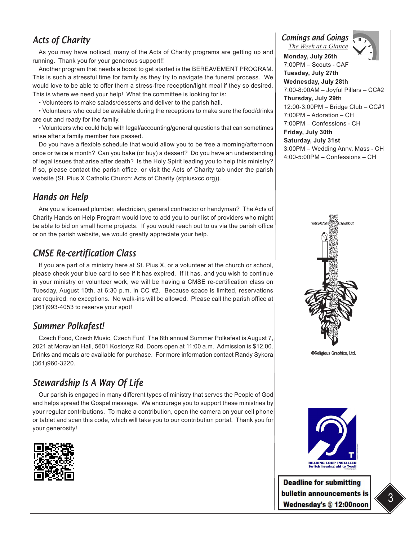## *Acts of Charity*

As you may have noticed, many of the Acts of Charity programs are getting up and running. Thank you for your generous support!!

Another program that needs a boost to get started is the BEREAVEMENT PROGRAM. This is such a stressful time for family as they try to navigate the funeral process. We would love to be able to offer them a stress-free reception/light meal if they so desired. This is where we need your help! What the committee is looking for is:

• Volunteers to make salads/desserts and deliver to the parish hall.

• Volunteers who could be available during the receptions to make sure the food/drinks are out and ready for the family.

• Volunteers who could help with legal/accounting/general questions that can sometimes arise after a family member has passed.

Do you have a flexible schedule that would allow you to be free a morning/afternoon once or twice a month? Can you bake (or buy) a dessert? Do you have an understanding of legal issues that arise after death? Is the Holy Spirit leading you to help this ministry? If so, please contact the parish office, or visit the Acts of Charity tab under the parish website (St. Pius X Catholic Church: Acts of Charity (stpiusxcc.org)).

#### *Hands on Help*

Are you a licensed plumber, electrician, general contractor or handyman? The Acts of Charity Hands on Help Program would love to add you to our list of providers who might be able to bid on small home projects. If you would reach out to us via the parish office or on the parish website, we would greatly appreciate your help.

#### *CMSE Re-certification Class*

If you are part of a ministry here at St. Pius X, or a volunteer at the church or school, please check your blue card to see if it has expired. If it has, and you wish to continue in your ministry or volunteer work, we will be having a CMSE re-certification class on Tuesday, August 10th, at 6:30 p.m. in CC #2. Because space is limited, reservations are required, no exceptions. No walk-ins will be allowed. Please call the parish office at (361)993-4053 to reserve your spot!

#### *Summer Polkafest!*

Czech Food, Czech Music, Czech Fun! The 8th annual Summer Polkafest is August 7, 2021 at Moravian Hall, 5601 Kostoryz Rd. Doors open at 11:00 a.m. Admission is \$12.00. Drinks and meals are available for purchase. For more information contact Randy Sykora (361)960-3220.

## *Stewardship Is A Way Of Life*

Our parish is engaged in many different types of ministry that serves the People of God and helps spread the Gospel message. We encourage you to support these ministries by your regular contributions. To make a contribution, open the camera on your cell phone or tablet and scan this code, which will take you to our contribution portal. Thank you for your generosity!



*Comings and Goings*

*The Week at a Glance*



**Monday, July 26th** 7:00PM – Scouts - CAF **Tuesday, July 27th Wednesday, July 28th**  7:00-8:00AM – Joyful Pillars – CC#2 **Thursday, July 29t**h 12:00-3:00PM – Bridge Club – CC#1 7:00PM – Adoration – CH 7:00PM – Confessions - CH **Friday, July 30th Saturday, July 31st** 3:00PM – Wedding Annv. Mass - CH 4:00-5:00PM – Confessions – CH







**Deadline for submitting** bulletin announcements is Wednesday's @ 12:00noon